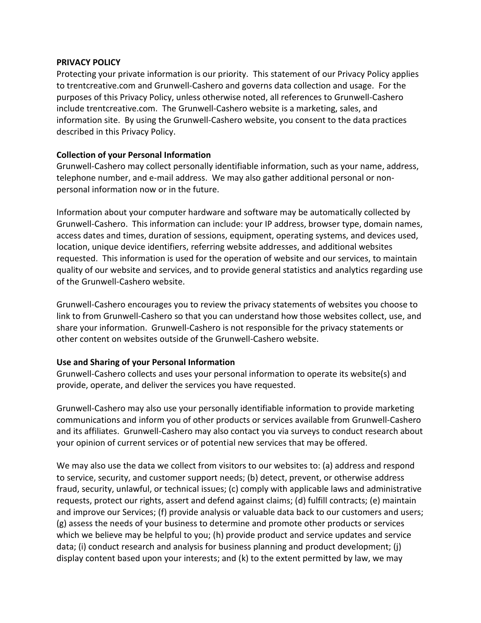#### **PRIVACY POLICY**

Protecting your private information is our priority. This statement of our Privacy Policy applies to trentcreative.com and Grunwell-Cashero and governs data collection and usage. For the purposes of this Privacy Policy, unless otherwise noted, all references to Grunwell-Cashero include trentcreative.com. The Grunwell-Cashero website is a marketing, sales, and information site. By using the Grunwell-Cashero website, you consent to the data practices described in this Privacy Policy.

## **Collection of your Personal Information**

Grunwell-Cashero may collect personally identifiable information, such as your name, address, telephone number, and e-mail address. We may also gather additional personal or nonpersonal information now or in the future.

Information about your computer hardware and software may be automatically collected by Grunwell-Cashero. This information can include: your IP address, browser type, domain names, access dates and times, duration of sessions, equipment, operating systems, and devices used, location, unique device identifiers, referring website addresses, and additional websites requested. This information is used for the operation of website and our services, to maintain quality of our website and services, and to provide general statistics and analytics regarding use of the Grunwell-Cashero website.

Grunwell-Cashero encourages you to review the privacy statements of websites you choose to link to from Grunwell-Cashero so that you can understand how those websites collect, use, and share your information. Grunwell-Cashero is not responsible for the privacy statements or other content on websites outside of the Grunwell-Cashero website.

### **Use and Sharing of your Personal Information**

Grunwell-Cashero collects and uses your personal information to operate its website(s) and provide, operate, and deliver the services you have requested.

Grunwell-Cashero may also use your personally identifiable information to provide marketing communications and inform you of other products or services available from Grunwell-Cashero and its affiliates. Grunwell-Cashero may also contact you via surveys to conduct research about your opinion of current services or of potential new services that may be offered.

We may also use the data we collect from visitors to our websites to: (a) address and respond to service, security, and customer support needs; (b) detect, prevent, or otherwise address fraud, security, unlawful, or technical issues; (c) comply with applicable laws and administrative requests, protect our rights, assert and defend against claims; (d) fulfill contracts; (e) maintain and improve our Services; (f) provide analysis or valuable data back to our customers and users; (g) assess the needs of your business to determine and promote other products or services which we believe may be helpful to you; (h) provide product and service updates and service data; (i) conduct research and analysis for business planning and product development; (j) display content based upon your interests; and (k) to the extent permitted by law, we may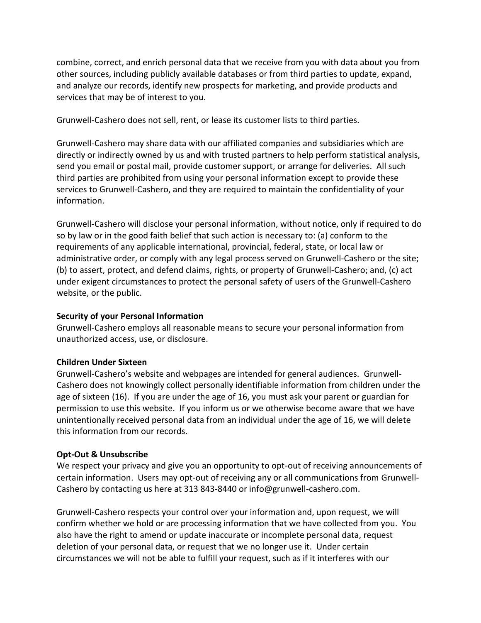combine, correct, and enrich personal data that we receive from you with data about you from other sources, including publicly available databases or from third parties to update, expand, and analyze our records, identify new prospects for marketing, and provide products and services that may be of interest to you.

Grunwell-Cashero does not sell, rent, or lease its customer lists to third parties.

Grunwell-Cashero may share data with our affiliated companies and subsidiaries which are directly or indirectly owned by us and with trusted partners to help perform statistical analysis, send you email or postal mail, provide customer support, or arrange for deliveries. All such third parties are prohibited from using your personal information except to provide these services to Grunwell-Cashero, and they are required to maintain the confidentiality of your information.

Grunwell-Cashero will disclose your personal information, without notice, only if required to do so by law or in the good faith belief that such action is necessary to: (a) conform to the requirements of any applicable international, provincial, federal, state, or local law or administrative order, or comply with any legal process served on Grunwell-Cashero or the site; (b) to assert, protect, and defend claims, rights, or property of Grunwell-Cashero; and, (c) act under exigent circumstances to protect the personal safety of users of the Grunwell-Cashero website, or the public.

### **Security of your Personal Information**

Grunwell-Cashero employs all reasonable means to secure your personal information from unauthorized access, use, or disclosure.

### **Children Under Sixteen**

Grunwell-Cashero's website and webpages are intended for general audiences. Grunwell-Cashero does not knowingly collect personally identifiable information from children under the age of sixteen (16). If you are under the age of 16, you must ask your parent or guardian for permission to use this website. If you inform us or we otherwise become aware that we have unintentionally received personal data from an individual under the age of 16, we will delete this information from our records.

### **Opt-Out & Unsubscribe**

We respect your privacy and give you an opportunity to opt-out of receiving announcements of certain information. Users may opt-out of receiving any or all communications from Grunwell-Cashero by contacting us here at 313 843-8440 or info@grunwell-cashero.com.

Grunwell-Cashero respects your control over your information and, upon request, we will confirm whether we hold or are processing information that we have collected from you. You also have the right to amend or update inaccurate or incomplete personal data, request deletion of your personal data, or request that we no longer use it. Under certain circumstances we will not be able to fulfill your request, such as if it interferes with our